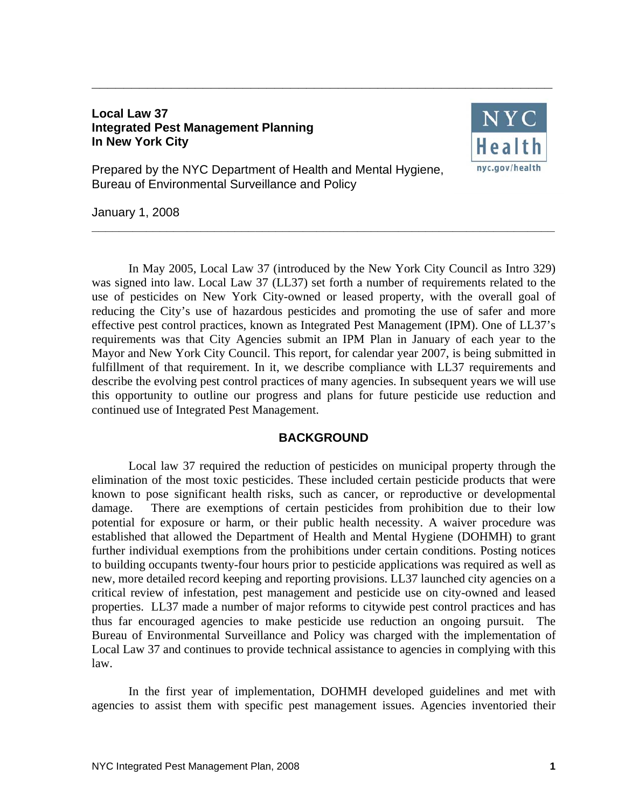## **Local Law 37 Integrated Pest Management Planning In New York City**



Prepared by the NYC Department of Health and Mental Hygiene, Bureau of Environmental Surveillance and Policy

January 1, 2008

In May 2005, Local Law 37 (introduced by the New York City Council as Intro 329) was signed into law. Local Law 37 (LL37) set forth a number of requirements related to the use of pesticides on New York City-owned or leased property, with the overall goal of reducing the City's use of hazardous pesticides and promoting the use of safer and more effective pest control practices, known as Integrated Pest Management (IPM). One of LL37's requirements was that City Agencies submit an IPM Plan in January of each year to the Mayor and New York City Council. This report, for calendar year 2007, is being submitted in fulfillment of that requirement. In it, we describe compliance with LL37 requirements and describe the evolving pest control practices of many agencies. In subsequent years we will use this opportunity to outline our progress and plans for future pesticide use reduction and continued use of Integrated Pest Management.

**\_\_\_\_\_\_\_\_\_\_\_\_\_\_\_\_\_\_\_\_\_\_\_\_\_\_\_\_\_\_\_\_\_\_\_\_\_\_\_\_\_\_\_\_\_\_\_\_\_\_\_\_\_\_\_\_\_\_\_\_\_\_\_\_\_\_\_\_** 

**\_\_\_\_\_\_\_\_\_\_\_\_\_\_\_\_\_\_\_\_\_\_\_\_\_\_\_\_\_\_\_\_\_\_\_\_\_\_\_\_\_\_\_\_\_\_\_\_\_\_\_\_\_\_\_\_\_\_** 

## **BACKGROUND**

Local law 37 required the reduction of pesticides on municipal property through the elimination of the most toxic pesticides. These included certain pesticide products that were known to pose significant health risks, such as cancer, or reproductive or developmental damage. There are exemptions of certain pesticides from prohibition due to their low potential for exposure or harm, or their public health necessity. A waiver procedure was established that allowed the Department of Health and Mental Hygiene (DOHMH) to grant further individual exemptions from the prohibitions under certain conditions. Posting notices to building occupants twenty-four hours prior to pesticide applications was required as well as new, more detailed record keeping and reporting provisions. LL37 launched city agencies on a critical review of infestation, pest management and pesticide use on city-owned and leased properties. LL37 made a number of major reforms to citywide pest control practices and has thus far encouraged agencies to make pesticide use reduction an ongoing pursuit. The Bureau of Environmental Surveillance and Policy was charged with the implementation of Local Law 37 and continues to provide technical assistance to agencies in complying with this law.

In the first year of implementation, DOHMH developed guidelines and met with agencies to assist them with specific pest management issues. Agencies inventoried their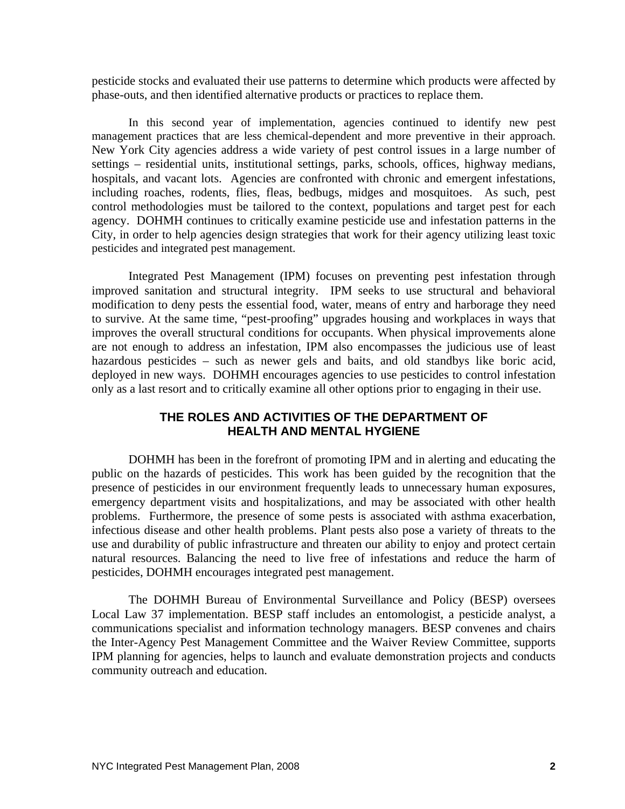pesticide stocks and evaluated their use patterns to determine which products were affected by phase-outs, and then identified alternative products or practices to replace them.

In this second year of implementation, agencies continued to identify new pest management practices that are less chemical-dependent and more preventive in their approach. New York City agencies address a wide variety of pest control issues in a large number of settings – residential units, institutional settings, parks, schools, offices, highway medians, hospitals, and vacant lots. Agencies are confronted with chronic and emergent infestations, including roaches, rodents, flies, fleas, bedbugs, midges and mosquitoes. As such, pest control methodologies must be tailored to the context, populations and target pest for each agency. DOHMH continues to critically examine pesticide use and infestation patterns in the City, in order to help agencies design strategies that work for their agency utilizing least toxic pesticides and integrated pest management.

Integrated Pest Management (IPM) focuses on preventing pest infestation through improved sanitation and structural integrity. IPM seeks to use structural and behavioral modification to deny pests the essential food, water, means of entry and harborage they need to survive. At the same time, "pest-proofing" upgrades housing and workplaces in ways that improves the overall structural conditions for occupants. When physical improvements alone are not enough to address an infestation, IPM also encompasses the judicious use of least hazardous pesticides – such as newer gels and baits, and old standbys like boric acid, deployed in new ways. DOHMH encourages agencies to use pesticides to control infestation only as a last resort and to critically examine all other options prior to engaging in their use.

# **THE ROLES AND ACTIVITIES OF THE DEPARTMENT OF HEALTH AND MENTAL HYGIENE**

DOHMH has been in the forefront of promoting IPM and in alerting and educating the public on the hazards of pesticides. This work has been guided by the recognition that the presence of pesticides in our environment frequently leads to unnecessary human exposures, emergency department visits and hospitalizations, and may be associated with other health problems. Furthermore, the presence of some pests is associated with asthma exacerbation, infectious disease and other health problems. Plant pests also pose a variety of threats to the use and durability of public infrastructure and threaten our ability to enjoy and protect certain natural resources. Balancing the need to live free of infestations and reduce the harm of pesticides, DOHMH encourages integrated pest management.

The DOHMH Bureau of Environmental Surveillance and Policy (BESP) oversees Local Law 37 implementation. BESP staff includes an entomologist, a pesticide analyst, a communications specialist and information technology managers. BESP convenes and chairs the Inter-Agency Pest Management Committee and the Waiver Review Committee, supports IPM planning for agencies, helps to launch and evaluate demonstration projects and conducts community outreach and education.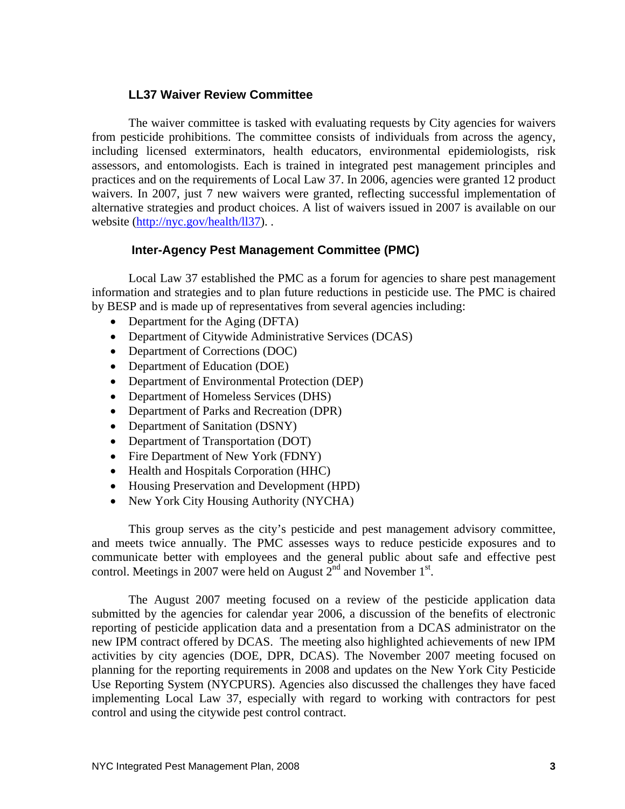# **LL37 Waiver Review Committee**

 The waiver committee is tasked with evaluating requests by City agencies for waivers from pesticide prohibitions. The committee consists of individuals from across the agency, including licensed exterminators, health educators, environmental epidemiologists, risk assessors, and entomologists. Each is trained in integrated pest management principles and practices and on the requirements of Local Law 37. In 2006, agencies were granted 12 product waivers. In 2007, just 7 new waivers were granted, reflecting successful implementation of alternative strategies and product choices. A list of waivers issued in 2007 is available on our website  $(http://nyc.gov/health/ll37)$ ..

# **Inter-Agency Pest Management Committee (PMC)**

 Local Law 37 established the PMC as a forum for agencies to share pest management information and strategies and to plan future reductions in pesticide use. The PMC is chaired by BESP and is made up of representatives from several agencies including:

- Department for the Aging (DFTA)
- Department of Citywide Administrative Services (DCAS)
- Department of Corrections (DOC)
- Department of Education (DOE)
- Department of Environmental Protection (DEP)
- Department of Homeless Services (DHS)
- Department of Parks and Recreation (DPR)
- Department of Sanitation (DSNY)
- Department of Transportation (DOT)
- Fire Department of New York (FDNY)
- Health and Hospitals Corporation (HHC)
- Housing Preservation and Development (HPD)
- New York City Housing Authority (NYCHA)

 This group serves as the city's pesticide and pest management advisory committee, and meets twice annually. The PMC assesses ways to reduce pesticide exposures and to communicate better with employees and the general public about safe and effective pest control. Meetings in 2007 were held on August  $2<sup>nd</sup>$  and November 1<sup>st</sup>.

 The August 2007 meeting focused on a review of the pesticide application data submitted by the agencies for calendar year 2006, a discussion of the benefits of electronic reporting of pesticide application data and a presentation from a DCAS administrator on the new IPM contract offered by DCAS. The meeting also highlighted achievements of new IPM activities by city agencies (DOE, DPR, DCAS). The November 2007 meeting focused on planning for the reporting requirements in 2008 and updates on the New York City Pesticide Use Reporting System (NYCPURS). Agencies also discussed the challenges they have faced implementing Local Law 37, especially with regard to working with contractors for pest control and using the citywide pest control contract.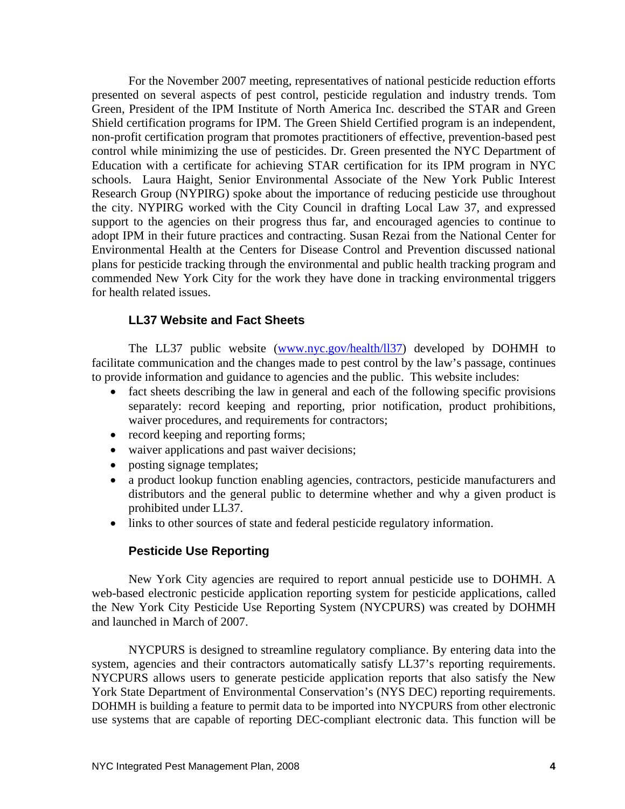For the November 2007 meeting, representatives of national pesticide reduction efforts presented on several aspects of pest control, pesticide regulation and industry trends. Tom Green, President of the IPM Institute of North America Inc. described the STAR and Green Shield certification programs for IPM. The Green Shield Certified program is an independent, non-profit certification program that promotes practitioners of effective, prevention-based pest control while minimizing the use of pesticides. Dr. Green presented the NYC Department of Education with a certificate for achieving STAR certification for its IPM program in NYC schools. Laura Haight, Senior Environmental Associate of the New York Public Interest Research Group (NYPIRG) spoke about the importance of reducing pesticide use throughout the city. NYPIRG worked with the City Council in drafting Local Law 37, and expressed support to the agencies on their progress thus far, and encouraged agencies to continue to adopt IPM in their future practices and contracting. Susan Rezai from the National Center for Environmental Health at the Centers for Disease Control and Prevention discussed national plans for pesticide tracking through the environmental and public health tracking program and commended New York City for the work they have done in tracking environmental triggers for health related issues.

## **LL37 Website and Fact Sheets**

The LL37 public website (www.nyc.gov/health/ll37) developed by DOHMH to facilitate communication and the changes made to pest control by the law's passage, continues to provide information and guidance to agencies and the public. This website includes:

- fact sheets describing the law in general and each of the following specific provisions separately: record keeping and reporting, prior notification, product prohibitions, waiver procedures, and requirements for contractors;
- record keeping and reporting forms;
- waiver applications and past waiver decisions;
- posting signage templates;
- a product lookup function enabling agencies, contractors, pesticide manufacturers and distributors and the general public to determine whether and why a given product is prohibited under LL37.
- links to other sources of state and federal pesticide regulatory information.

## **Pesticide Use Reporting**

New York City agencies are required to report annual pesticide use to DOHMH. A web-based electronic pesticide application reporting system for pesticide applications, called the New York City Pesticide Use Reporting System (NYCPURS) was created by DOHMH and launched in March of 2007.

NYCPURS is designed to streamline regulatory compliance. By entering data into the system, agencies and their contractors automatically satisfy LL37's reporting requirements. NYCPURS allows users to generate pesticide application reports that also satisfy the New York State Department of Environmental Conservation's (NYS DEC) reporting requirements. DOHMH is building a feature to permit data to be imported into NYCPURS from other electronic use systems that are capable of reporting DEC-compliant electronic data. This function will be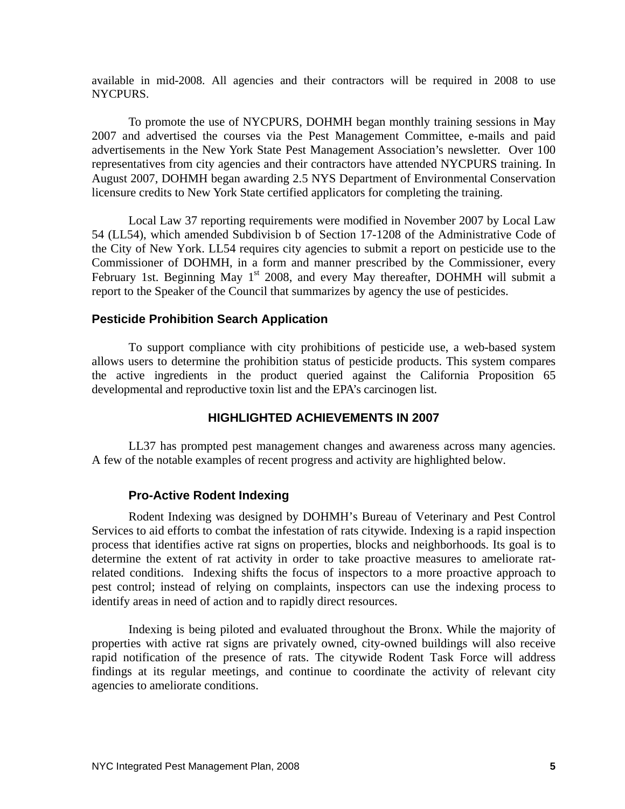available in mid-2008. All agencies and their contractors will be required in 2008 to use NYCPURS.

To promote the use of NYCPURS, DOHMH began monthly training sessions in May 2007 and advertised the courses via the Pest Management Committee, e-mails and paid advertisements in the New York State Pest Management Association's newsletter. Over 100 representatives from city agencies and their contractors have attended NYCPURS training. In August 2007, DOHMH began awarding 2.5 NYS Department of Environmental Conservation licensure credits to New York State certified applicators for completing the training.

Local Law 37 reporting requirements were modified in November 2007 by Local Law 54 (LL54), which amended Subdivision b of Section 17-1208 of the Administrative Code of the City of New York. LL54 requires city agencies to submit a report on pesticide use to the Commissioner of DOHMH, in a form and manner prescribed by the Commissioner, every February 1st. Beginning May 1<sup>st</sup> 2008, and every May thereafter, DOHMH will submit a report to the Speaker of the Council that summarizes by agency the use of pesticides.

## **Pesticide Prohibition Search Application**

To support compliance with city prohibitions of pesticide use, a web-based system allows users to determine the prohibition status of pesticide products. This system compares the active ingredients in the product queried against the California Proposition 65 developmental and reproductive toxin list and the EPA's carcinogen list.

## **HIGHLIGHTED ACHIEVEMENTS IN 2007**

LL37 has prompted pest management changes and awareness across many agencies. A few of the notable examples of recent progress and activity are highlighted below.

## **Pro-Active Rodent Indexing**

Rodent Indexing was designed by DOHMH's Bureau of Veterinary and Pest Control Services to aid efforts to combat the infestation of rats citywide. Indexing is a rapid inspection process that identifies active rat signs on properties, blocks and neighborhoods. Its goal is to determine the extent of rat activity in order to take proactive measures to ameliorate ratrelated conditions. Indexing shifts the focus of inspectors to a more proactive approach to pest control; instead of relying on complaints, inspectors can use the indexing process to identify areas in need of action and to rapidly direct resources.

Indexing is being piloted and evaluated throughout the Bronx. While the majority of properties with active rat signs are privately owned, city-owned buildings will also receive rapid notification of the presence of rats. The citywide Rodent Task Force will address findings at its regular meetings, and continue to coordinate the activity of relevant city agencies to ameliorate conditions.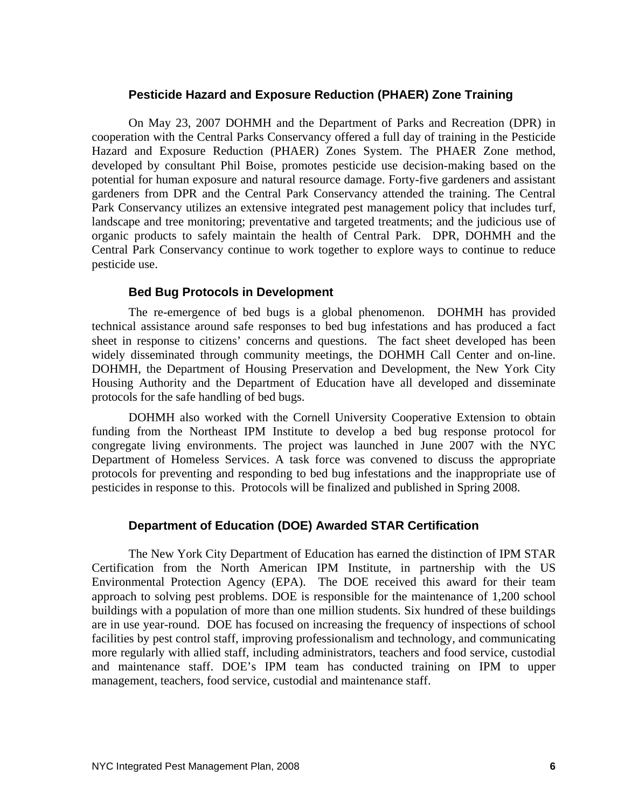## **Pesticide Hazard and Exposure Reduction (PHAER) Zone Training**

On May 23, 2007 DOHMH and the Department of Parks and Recreation (DPR) in cooperation with the Central Parks Conservancy offered a full day of training in the Pesticide Hazard and Exposure Reduction (PHAER) Zones System. The PHAER Zone method, developed by consultant Phil Boise, promotes pesticide use decision-making based on the potential for human exposure and natural resource damage. Forty-five gardeners and assistant gardeners from DPR and the Central Park Conservancy attended the training. The Central Park Conservancy utilizes an extensive integrated pest management policy that includes turf, landscape and tree monitoring; preventative and targeted treatments; and the judicious use of organic products to safely maintain the health of Central Park. DPR, DOHMH and the Central Park Conservancy continue to work together to explore ways to continue to reduce pesticide use.

## **Bed Bug Protocols in Development**

The re-emergence of bed bugs is a global phenomenon. DOHMH has provided technical assistance around safe responses to bed bug infestations and has produced a fact sheet in response to citizens' concerns and questions. The fact sheet developed has been widely disseminated through community meetings, the DOHMH Call Center and on-line. DOHMH, the Department of Housing Preservation and Development, the New York City Housing Authority and the Department of Education have all developed and disseminate protocols for the safe handling of bed bugs.

DOHMH also worked with the Cornell University Cooperative Extension to obtain funding from the Northeast IPM Institute to develop a bed bug response protocol for congregate living environments. The project was launched in June 2007 with the NYC Department of Homeless Services. A task force was convened to discuss the appropriate protocols for preventing and responding to bed bug infestations and the inappropriate use of pesticides in response to this. Protocols will be finalized and published in Spring 2008.

## **Department of Education (DOE) Awarded STAR Certification**

The New York City Department of Education has earned the distinction of IPM STAR Certification from the North American IPM Institute, in partnership with the US Environmental Protection Agency (EPA). The DOE received this award for their team approach to solving pest problems. DOE is responsible for the maintenance of 1,200 school buildings with a population of more than one million students. Six hundred of these buildings are in use year-round. DOE has focused on increasing the frequency of inspections of school facilities by pest control staff, improving professionalism and technology, and communicating more regularly with allied staff, including administrators, teachers and food service, custodial and maintenance staff. DOE's IPM team has conducted training on IPM to upper management, teachers, food service, custodial and maintenance staff.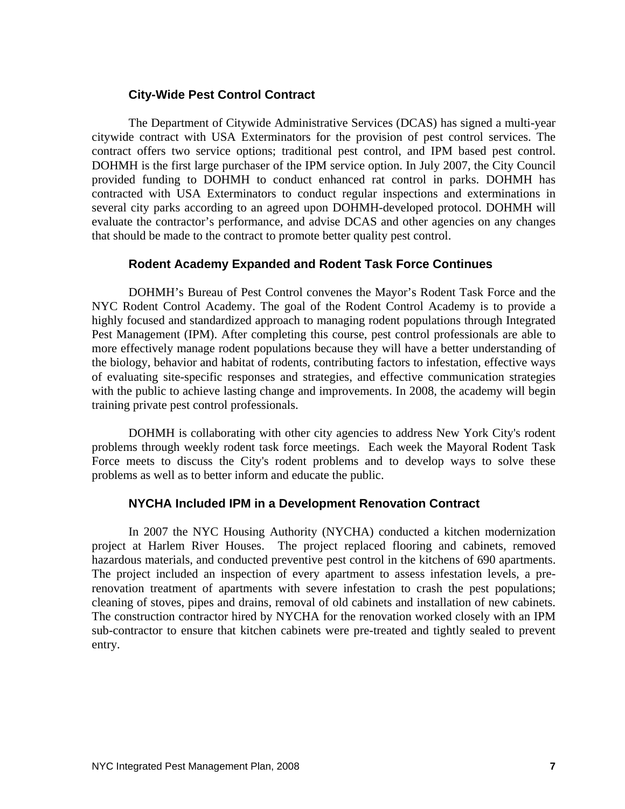## **City-Wide Pest Control Contract**

The Department of Citywide Administrative Services (DCAS) has signed a multi-year citywide contract with USA Exterminators for the provision of pest control services. The contract offers two service options; traditional pest control, and IPM based pest control. DOHMH is the first large purchaser of the IPM service option. In July 2007, the City Council provided funding to DOHMH to conduct enhanced rat control in parks. DOHMH has contracted with USA Exterminators to conduct regular inspections and exterminations in several city parks according to an agreed upon DOHMH-developed protocol. DOHMH will evaluate the contractor's performance, and advise DCAS and other agencies on any changes that should be made to the contract to promote better quality pest control.

# **Rodent Academy Expanded and Rodent Task Force Continues**

DOHMH's Bureau of Pest Control convenes the Mayor's Rodent Task Force and the NYC Rodent Control Academy. The goal of the Rodent Control Academy is to provide a highly focused and standardized approach to managing rodent populations through Integrated Pest Management (IPM). After completing this course, pest control professionals are able to more effectively manage rodent populations because they will have a better understanding of the biology, behavior and habitat of rodents, contributing factors to infestation, effective ways of evaluating site-specific responses and strategies, and effective communication strategies with the public to achieve lasting change and improvements. In 2008, the academy will begin training private pest control professionals.

DOHMH is collaborating with other city agencies to address New York City's rodent problems through weekly rodent task force meetings. Each week the Mayoral Rodent Task Force meets to discuss the City's rodent problems and to develop ways to solve these problems as well as to better inform and educate the public.

## **NYCHA Included IPM in a Development Renovation Contract**

In 2007 the NYC Housing Authority (NYCHA) conducted a kitchen modernization project at Harlem River Houses. The project replaced flooring and cabinets, removed hazardous materials, and conducted preventive pest control in the kitchens of 690 apartments. The project included an inspection of every apartment to assess infestation levels, a prerenovation treatment of apartments with severe infestation to crash the pest populations; cleaning of stoves, pipes and drains, removal of old cabinets and installation of new cabinets. The construction contractor hired by NYCHA for the renovation worked closely with an IPM sub-contractor to ensure that kitchen cabinets were pre-treated and tightly sealed to prevent entry.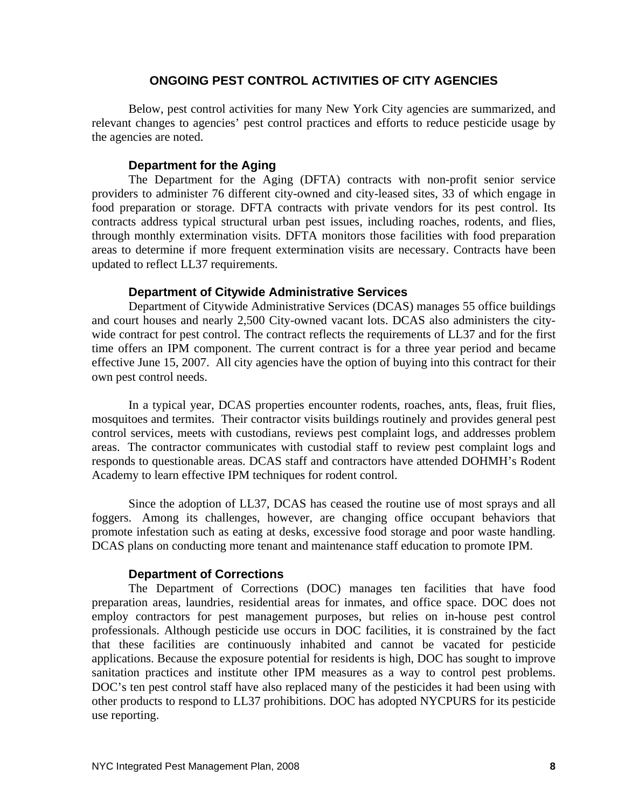### **ONGOING PEST CONTROL ACTIVITIES OF CITY AGENCIES**

Below, pest control activities for many New York City agencies are summarized, and relevant changes to agencies' pest control practices and efforts to reduce pesticide usage by the agencies are noted.

#### **Department for the Aging**

The Department for the Aging (DFTA) contracts with non-profit senior service providers to administer 76 different city-owned and city-leased sites, 33 of which engage in food preparation or storage. DFTA contracts with private vendors for its pest control. Its contracts address typical structural urban pest issues, including roaches, rodents, and flies, through monthly extermination visits. DFTA monitors those facilities with food preparation areas to determine if more frequent extermination visits are necessary. Contracts have been updated to reflect LL37 requirements.

### **Department of Citywide Administrative Services**

Department of Citywide Administrative Services (DCAS) manages 55 office buildings and court houses and nearly 2,500 City-owned vacant lots. DCAS also administers the citywide contract for pest control. The contract reflects the requirements of LL37 and for the first time offers an IPM component. The current contract is for a three year period and became effective June 15, 2007. All city agencies have the option of buying into this contract for their own pest control needs.

In a typical year, DCAS properties encounter rodents, roaches, ants, fleas, fruit flies, mosquitoes and termites. Their contractor visits buildings routinely and provides general pest control services, meets with custodians, reviews pest complaint logs, and addresses problem areas. The contractor communicates with custodial staff to review pest complaint logs and responds to questionable areas. DCAS staff and contractors have attended DOHMH's Rodent Academy to learn effective IPM techniques for rodent control.

Since the adoption of LL37, DCAS has ceased the routine use of most sprays and all foggers. Among its challenges, however, are changing office occupant behaviors that promote infestation such as eating at desks, excessive food storage and poor waste handling. DCAS plans on conducting more tenant and maintenance staff education to promote IPM.

#### **Department of Corrections**

The Department of Corrections (DOC) manages ten facilities that have food preparation areas, laundries, residential areas for inmates, and office space. DOC does not employ contractors for pest management purposes, but relies on in-house pest control professionals. Although pesticide use occurs in DOC facilities, it is constrained by the fact that these facilities are continuously inhabited and cannot be vacated for pesticide applications. Because the exposure potential for residents is high, DOC has sought to improve sanitation practices and institute other IPM measures as a way to control pest problems. DOC's ten pest control staff have also replaced many of the pesticides it had been using with other products to respond to LL37 prohibitions. DOC has adopted NYCPURS for its pesticide use reporting.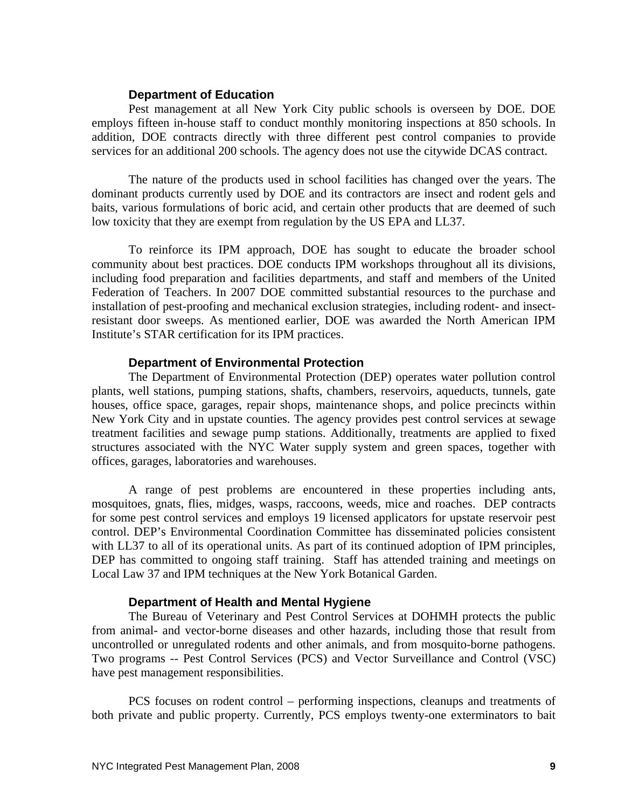#### **Department of Education**

Pest management at all New York City public schools is overseen by DOE. DOE employs fifteen in-house staff to conduct monthly monitoring inspections at 850 schools. In addition, DOE contracts directly with three different pest control companies to provide services for an additional 200 schools. The agency does not use the citywide DCAS contract.

The nature of the products used in school facilities has changed over the years. The dominant products currently used by DOE and its contractors are insect and rodent gels and baits, various formulations of boric acid, and certain other products that are deemed of such low toxicity that they are exempt from regulation by the US EPA and LL37.

To reinforce its IPM approach, DOE has sought to educate the broader school community about best practices. DOE conducts IPM workshops throughout all its divisions, including food preparation and facilities departments, and staff and members of the United Federation of Teachers. In 2007 DOE committed substantial resources to the purchase and installation of pest-proofing and mechanical exclusion strategies, including rodent- and insectresistant door sweeps. As mentioned earlier, DOE was awarded the North American IPM Institute's STAR certification for its IPM practices.

#### **Department of Environmental Protection**

The Department of Environmental Protection (DEP) operates water pollution control plants, well stations, pumping stations, shafts, chambers, reservoirs, aqueducts, tunnels, gate houses, office space, garages, repair shops, maintenance shops, and police precincts within New York City and in upstate counties. The agency provides pest control services at sewage treatment facilities and sewage pump stations. Additionally, treatments are applied to fixed structures associated with the NYC Water supply system and green spaces, together with offices, garages, laboratories and warehouses.

A range of pest problems are encountered in these properties including ants, mosquitoes, gnats, flies, midges, wasps, raccoons, weeds, mice and roaches. DEP contracts for some pest control services and employs 19 licensed applicators for upstate reservoir pest control. DEP's Environmental Coordination Committee has disseminated policies consistent with LL37 to all of its operational units. As part of its continued adoption of IPM principles, DEP has committed to ongoing staff training. Staff has attended training and meetings on Local Law 37 and IPM techniques at the New York Botanical Garden.

#### **Department of Health and Mental Hygiene**

The Bureau of Veterinary and Pest Control Services at DOHMH protects the public from animal- and vector-borne diseases and other hazards, including those that result from uncontrolled or unregulated rodents and other animals, and from mosquito-borne pathogens. Two programs -- Pest Control Services (PCS) and Vector Surveillance and Control (VSC) have pest management responsibilities.

PCS focuses on rodent control – performing inspections, cleanups and treatments of both private and public property. Currently, PCS employs twenty-one exterminators to bait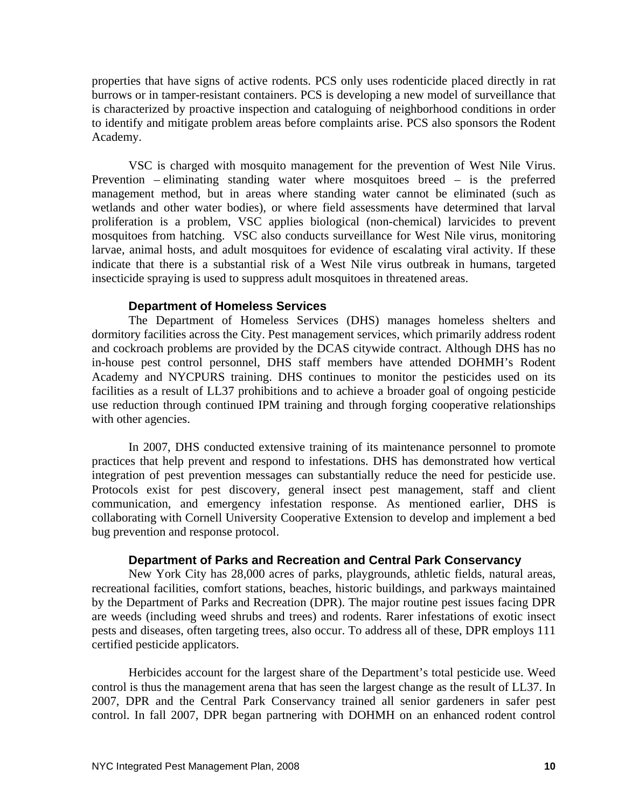properties that have signs of active rodents. PCS only uses rodenticide placed directly in rat burrows or in tamper-resistant containers. PCS is developing a new model of surveillance that is characterized by proactive inspection and cataloguing of neighborhood conditions in order to identify and mitigate problem areas before complaints arise. PCS also sponsors the Rodent Academy.

VSC is charged with mosquito management for the prevention of West Nile Virus. Prevention – eliminating standing water where mosquitoes breed – is the preferred management method, but in areas where standing water cannot be eliminated (such as wetlands and other water bodies), or where field assessments have determined that larval proliferation is a problem, VSC applies biological (non-chemical) larvicides to prevent mosquitoes from hatching. VSC also conducts surveillance for West Nile virus, monitoring larvae, animal hosts, and adult mosquitoes for evidence of escalating viral activity. If these indicate that there is a substantial risk of a West Nile virus outbreak in humans, targeted insecticide spraying is used to suppress adult mosquitoes in threatened areas.

#### **Department of Homeless Services**

The Department of Homeless Services (DHS) manages homeless shelters and dormitory facilities across the City. Pest management services, which primarily address rodent and cockroach problems are provided by the DCAS citywide contract. Although DHS has no in-house pest control personnel, DHS staff members have attended DOHMH's Rodent Academy and NYCPURS training. DHS continues to monitor the pesticides used on its facilities as a result of LL37 prohibitions and to achieve a broader goal of ongoing pesticide use reduction through continued IPM training and through forging cooperative relationships with other agencies.

In 2007, DHS conducted extensive training of its maintenance personnel to promote practices that help prevent and respond to infestations. DHS has demonstrated how vertical integration of pest prevention messages can substantially reduce the need for pesticide use. Protocols exist for pest discovery, general insect pest management, staff and client communication, and emergency infestation response. As mentioned earlier, DHS is collaborating with Cornell University Cooperative Extension to develop and implement a bed bug prevention and response protocol.

#### **Department of Parks and Recreation and Central Park Conservancy**

New York City has 28,000 acres of parks, playgrounds, athletic fields, natural areas, recreational facilities, comfort stations, beaches, historic buildings, and parkways maintained by the Department of Parks and Recreation (DPR). The major routine pest issues facing DPR are weeds (including weed shrubs and trees) and rodents. Rarer infestations of exotic insect pests and diseases, often targeting trees, also occur. To address all of these, DPR employs 111 certified pesticide applicators.

Herbicides account for the largest share of the Department's total pesticide use. Weed control is thus the management arena that has seen the largest change as the result of LL37. In 2007, DPR and the Central Park Conservancy trained all senior gardeners in safer pest control. In fall 2007, DPR began partnering with DOHMH on an enhanced rodent control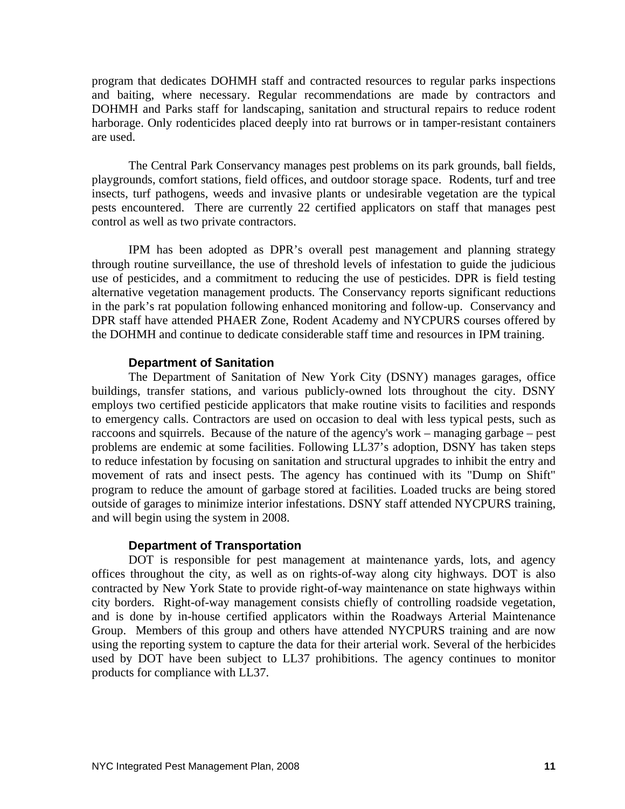program that dedicates DOHMH staff and contracted resources to regular parks inspections and baiting, where necessary. Regular recommendations are made by contractors and DOHMH and Parks staff for landscaping, sanitation and structural repairs to reduce rodent harborage. Only rodenticides placed deeply into rat burrows or in tamper-resistant containers are used.

The Central Park Conservancy manages pest problems on its park grounds, ball fields, playgrounds, comfort stations, field offices, and outdoor storage space. Rodents, turf and tree insects, turf pathogens, weeds and invasive plants or undesirable vegetation are the typical pests encountered. There are currently 22 certified applicators on staff that manages pest control as well as two private contractors.

IPM has been adopted as DPR's overall pest management and planning strategy through routine surveillance, the use of threshold levels of infestation to guide the judicious use of pesticides, and a commitment to reducing the use of pesticides. DPR is field testing alternative vegetation management products. The Conservancy reports significant reductions in the park's rat population following enhanced monitoring and follow-up. Conservancy and DPR staff have attended PHAER Zone, Rodent Academy and NYCPURS courses offered by the DOHMH and continue to dedicate considerable staff time and resources in IPM training.

#### **Department of Sanitation**

The Department of Sanitation of New York City (DSNY) manages garages, office buildings, transfer stations, and various publicly-owned lots throughout the city. DSNY employs two certified pesticide applicators that make routine visits to facilities and responds to emergency calls. Contractors are used on occasion to deal with less typical pests, such as raccoons and squirrels. Because of the nature of the agency's work – managing garbage – pest problems are endemic at some facilities. Following LL37's adoption, DSNY has taken steps to reduce infestation by focusing on sanitation and structural upgrades to inhibit the entry and movement of rats and insect pests. The agency has continued with its "Dump on Shift" program to reduce the amount of garbage stored at facilities. Loaded trucks are being stored outside of garages to minimize interior infestations. DSNY staff attended NYCPURS training, and will begin using the system in 2008.

#### **Department of Transportation**

DOT is responsible for pest management at maintenance yards, lots, and agency offices throughout the city, as well as on rights-of-way along city highways. DOT is also contracted by New York State to provide right-of-way maintenance on state highways within city borders. Right-of-way management consists chiefly of controlling roadside vegetation, and is done by in-house certified applicators within the Roadways Arterial Maintenance Group. Members of this group and others have attended NYCPURS training and are now using the reporting system to capture the data for their arterial work. Several of the herbicides used by DOT have been subject to LL37 prohibitions. The agency continues to monitor products for compliance with LL37.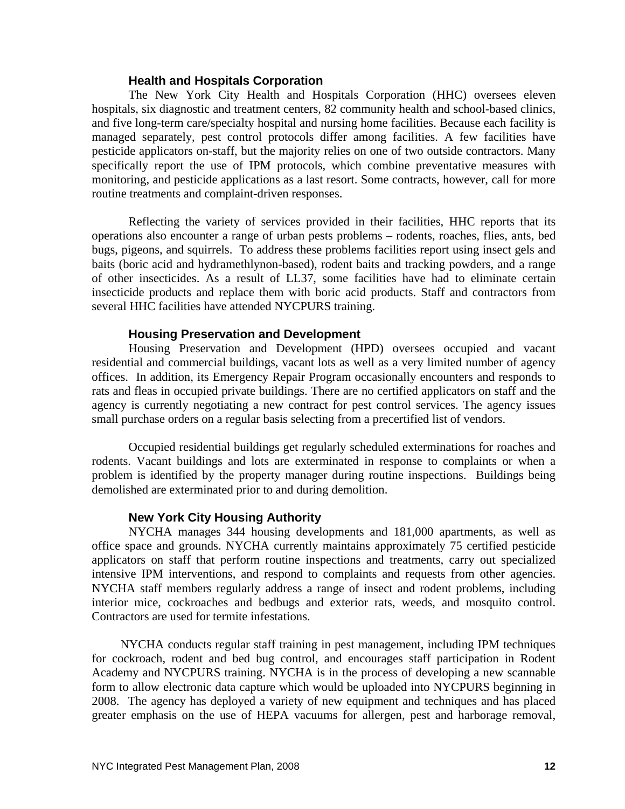#### **Health and Hospitals Corporation**

The New York City Health and Hospitals Corporation (HHC) oversees eleven hospitals, six diagnostic and treatment centers, 82 community health and school-based clinics, and five long-term care/specialty hospital and nursing home facilities. Because each facility is managed separately, pest control protocols differ among facilities. A few facilities have pesticide applicators on-staff, but the majority relies on one of two outside contractors. Many specifically report the use of IPM protocols, which combine preventative measures with monitoring, and pesticide applications as a last resort. Some contracts, however, call for more routine treatments and complaint-driven responses.

Reflecting the variety of services provided in their facilities, HHC reports that its operations also encounter a range of urban pests problems – rodents, roaches, flies, ants, bed bugs, pigeons, and squirrels. To address these problems facilities report using insect gels and baits (boric acid and hydramethlynon-based), rodent baits and tracking powders, and a range of other insecticides. As a result of LL37, some facilities have had to eliminate certain insecticide products and replace them with boric acid products. Staff and contractors from several HHC facilities have attended NYCPURS training.

### **Housing Preservation and Development**

Housing Preservation and Development (HPD) oversees occupied and vacant residential and commercial buildings, vacant lots as well as a very limited number of agency offices. In addition, its Emergency Repair Program occasionally encounters and responds to rats and fleas in occupied private buildings. There are no certified applicators on staff and the agency is currently negotiating a new contract for pest control services. The agency issues small purchase orders on a regular basis selecting from a precertified list of vendors.

Occupied residential buildings get regularly scheduled exterminations for roaches and rodents. Vacant buildings and lots are exterminated in response to complaints or when a problem is identified by the property manager during routine inspections. Buildings being demolished are exterminated prior to and during demolition.

## **New York City Housing Authority**

NYCHA manages 344 housing developments and 181,000 apartments, as well as office space and grounds. NYCHA currently maintains approximately 75 certified pesticide applicators on staff that perform routine inspections and treatments, carry out specialized intensive IPM interventions, and respond to complaints and requests from other agencies. NYCHA staff members regularly address a range of insect and rodent problems, including interior mice, cockroaches and bedbugs and exterior rats, weeds, and mosquito control. Contractors are used for termite infestations.

 NYCHA conducts regular staff training in pest management, including IPM techniques for cockroach, rodent and bed bug control, and encourages staff participation in Rodent Academy and NYCPURS training. NYCHA is in the process of developing a new scannable form to allow electronic data capture which would be uploaded into NYCPURS beginning in 2008. The agency has deployed a variety of new equipment and techniques and has placed greater emphasis on the use of HEPA vacuums for allergen, pest and harborage removal,